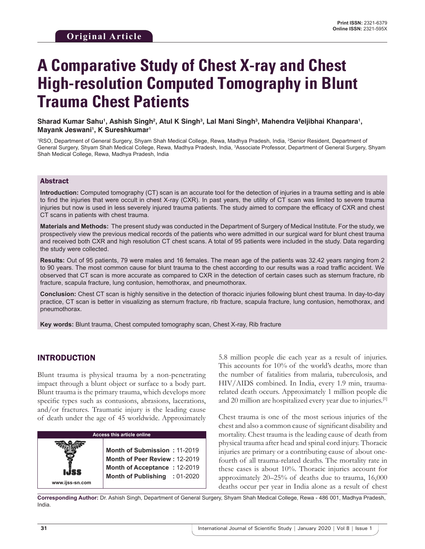# **A Comparative Study of Chest X-ray and Chest High-resolution Computed Tomography in Blunt Trauma Chest Patients**

Sharad Kumar Sahu<sup>1</sup>, Ashish Singh<sup>2</sup>, Atul K Singh<sup>3</sup>, Lal Mani Singh<sup>3</sup>, Mahendra Veljibhai Khanpara<sup>1</sup>, **Mayank Jeswani1 , K Sureshkumar1**

<sup>1</sup>RSO, Department of General Surgery, Shyam Shah Medical College, Rewa, Madhya Pradesh, India, <sup>2</sup>Senior Resident, Department of General Surgery, Shyam Shah Medical College, Rewa, Madhya Pradesh, India, <sup>3</sup>Associate Professor, Department of General Surgery, Shyam Shah Medical College, Rewa, Madhya Pradesh, India

#### Abstract

**Introduction:** Computed tomography (CT) scan is an accurate tool for the detection of injuries in a trauma setting and is able to find the injuries that were occult in chest X-ray (CXR). In past years, the utility of CT scan was limited to severe trauma injuries but now is used in less severely injured trauma patients. The study aimed to compare the efficacy of CXR and chest CT scans in patients with chest trauma.

**Materials and Methods:** The present study was conducted in the Department of Surgery of Medical Institute. For the study, we prospectively view the previous medical records of the patients who were admitted in our surgical ward for blunt chest trauma and received both CXR and high resolution CT chest scans. A total of 95 patients were included in the study. Data regarding the study were collected.

**Results:** Out of 95 patients, 79 were males and 16 females. The mean age of the patients was 32.42 years ranging from 2 to 90 years. The most common cause for blunt trauma to the chest according to our results was a road traffic accident. We observed that CT scan is more accurate as compared to CXR in the detection of certain cases such as sternum fracture, rib fracture, scapula fracture, lung contusion, hemothorax, and pneumothorax.

**Conclusion:** Chest CT scan is highly sensitive in the detection of thoracic injuries following blunt chest trauma. In day-to-day practice, CT scan is better in visualizing as sternum fracture, rib fracture, scapula fracture, lung contusion, hemothorax, and pneumothorax.

**Key words:** Blunt trauma, Chest computed tomography scan, Chest X-ray, Rib fracture

## INTRODUCTION

Blunt trauma is physical trauma by a non-penetrating impact through a blunt object or surface to a body part. Blunt trauma is the primary trauma, which develops more specific types such as contusions, abrasions, lacerations, and/or fractures. Traumatic injury is the leading cause of death under the age of 45 worldwide. Approximately



5.8 million people die each year as a result of injuries. This accounts for 10% of the world's deaths, more than the number of fatalities from malaria, tuberculosis, and HIV/AIDS combined. In India, every 1.9 min, traumarelated death occurs. Approximately 1 million people die and 20 million are hospitalized every year due to injuries.[1]

Chest trauma is one of the most serious injuries of the chest and also a common cause of significant disability and mortality. Chest trauma is the leading cause of death from physical trauma after head and spinal cord injury. Thoracic injuries are primary or a contributing cause of about onefourth of all trauma-related deaths. The mortality rate in these cases is about 10%. Thoracic injuries account for approximately 20–25% of deaths due to trauma, 16,000 deaths occur per year in India alone as a result of chest

**Corresponding Author:** Dr. Ashish Singh, Department of General Surgery, Shyam Shah Medical College, Rewa - 486 001, Madhya Pradesh, India.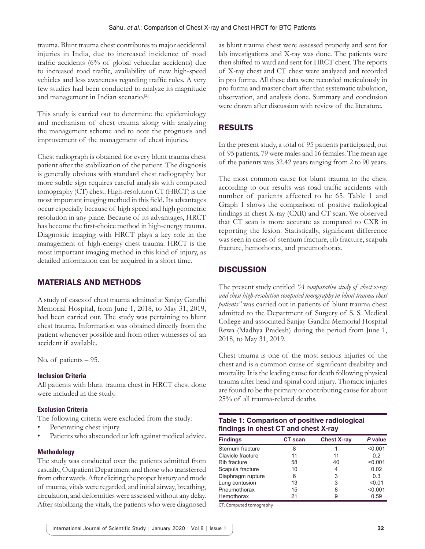trauma. Blunt trauma chest contributes to major accidental injuries in India, due to increased incidence of road traffic accidents (6% of global vehicular accidents) due to increased road traffic, availability of new high-speed vehicles and less awareness regarding traffic rules. A very few studies had been conducted to analyze its magnitude and management in Indian scenario.[2]

This study is carried out to determine the epidemiology and mechanism of chest trauma along with analyzing the management scheme and to note the prognosis and improvement of the management of chest injuries.

Chest radiograph is obtained for every blunt trauma chest patient after the stabilization of the patient. The diagnosis is generally obvious with standard chest radiography but more subtle sign requires careful analysis with computed tomography (CT) chest. High-resolution CT (HRCT) is the most important imaging method in this field. Its advantages occur especially because of high speed and high geometric resolution in any plane. Because of its advantages, HRCT has become the first-choice method in high-energy trauma. Diagnostic imaging with HRCT plays a key role in the management of high-energy chest trauma. HRCT is the most important imaging method in this kind of injury, as detailed information can be acquired in a short time.

# MATERIALS AND METHODS

A study of cases of chest trauma admitted at Sanjay Gandhi Memorial Hospital, from June 1, 2018, to May 31, 2019, had been carried out. The study was pertaining to blunt chest trauma. Information was obtained directly from the patient whenever possible and from other witnesses of an accident if available.

No. of patients – 95.

#### **Inclusion Criteria**

All patients with blunt trauma chest in HRCT chest done were included in the study.

#### **Exclusion Criteria**

The following criteria were excluded from the study:

- Penetrating chest injury
- Patients who absconded or left against medical advice.

#### **Methodology**

The study was conducted over the patients admitted from casualty, Outpatient Department and those who transferred from other wards. After eliciting the proper history and mode of trauma, vitals were regarded, and initial airway, breathing, circulation, and deformities were assessed without any delay. After stabilizing the vitals, the patients who were diagnosed as blunt trauma chest were assessed properly and sent for lab investigations and X-ray was done. The patients were then shifted to ward and sent for HRCT chest. The reports of X-ray chest and CT chest were analyzed and recorded in pro forma. All these data were recorded meticulously in pro forma and master chart after that systematic tabulation, observation, and analysis done. Summary and conclusion were drawn after discussion with review of the literature.

# RESULTS

In the present study, a total of 95 patients participated, out of 95 patients, 79 were males and 16 females. The mean age of the patients was 32.42 years ranging from 2 to 90 years.

The most common cause for blunt trauma to the chest according to our results was road traffic accidents with number of patients affected to be 65. Table 1 and Graph 1 shows the comparison of positive radiological findings in chest X-ray (CXR) and CT scan. We observed that CT scan is more accurate as compared to CXR in reporting the lesion. Statistically, significant difference was seen in cases of sternum fracture, rib fracture, scapula fracture, hemothorax, and pneumothorax.

# **DISCUSSION**

The present study entitled *"A comparative study of chest x-ray and chest high-resolution computed tomography in blunt trauma chest patients"* was carried out in patients of blunt trauma chest admitted to the Department of Surgery of S. S. Medical College and associated Sanjay Gandhi Memorial Hospital Rewa (Madhya Pradesh) during the period from June 1, 2018, to May 31, 2019.

Chest trauma is one of the most serious injuries of the chest and is a common cause of significant disability and mortality. It is the leading cause for death following physical trauma after head and spinal cord injury. Thoracic injuries are found to be the primary or contributing cause for about 25% of all trauma-related deaths.

| Table 1: Comparison of positive radiological |  |
|----------------------------------------------|--|
| findings in chest CT and chest X-ray         |  |

| <b>Findings</b>   | <b>CT</b> scan | <b>Chest X-ray</b> | P value |
|-------------------|----------------|--------------------|---------|
| Sternum fracture  | 8              |                    | < 0.001 |
| Clavicle fracture | 11             | 11                 | 0.2     |
| Rib fracture      | 58             | 40                 | < 0.001 |
| Scapula fracture  | 10             | 4                  | 0.02    |
| Diaphragm rupture | 6              | 3                  | 0.3     |
| Lung contusion    | 13             | 3                  | < 0.01  |
| Pneumothorax      | 15             | 8                  | < 0.001 |
| Hemothorax        | 21             | 9                  | 0.59    |

CT: Computed tomography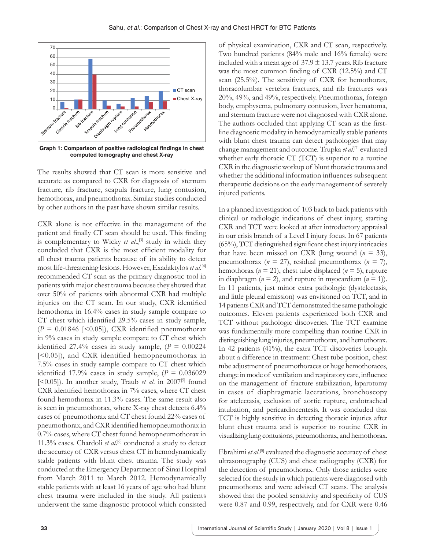

**Graph 1: Comparison of positive radiological findings in chest computed tomography and chest X-ray**

The results showed that CT scan is more sensitive and accurate as compared to CXR for diagnosis of sternum fracture, rib fracture, scapula fracture, lung contusion, hemothorax, and pneumothorax. Similar studies conducted by other authors in the past have shown similar results.

CXR alone is not effective in the management of the patient and finally CT scan should be used. This finding is complementary to Wicky *et al.*,<sup>[3]</sup> study in which they concluded that CXR is the most efficient modality for all chest trauma patients because of its ability to detect most life-threatening lesions. However, Exadaktylos *et al*. [4] recommended CT scan as the primary diagnostic tool in patients with major chest trauma because they showed that over 50% of patients with abnormal CXR had multiple injuries on the CT scan. In our study, CXR identified hemothorax in 16.4% cases in study sample compare to CT chest which identified 29.5% cases in study sample,  $(P = 0.01846$  [<0.05]), CXR identified pneumothorax in 9% cases in study sample compare to CT chest which identified  $27.4\%$  cases in study sample,  $(P = 0.00224)$ [<0.05]), and CXR identified hemopneumothorax in 7.5% cases in study sample compare to CT chest which identified 17.9% cases in study sample,  $(P = 0.036029)$ [ $\leq$ 0.05]). In another study, Traub *et al.* in 2007<sup>[5]</sup> found CXR identified hemothorax in 7% cases, where CT chest found hemothorax in 11.3% cases. The same result also is seen in pneumothorax, where X-ray chest detects 6.4% cases of pneumothorax and CT chest found 22% cases of pneumothorax, and CXR identified hemopneumothorax in 0.7% cases, where CT chest found hemopneumothorax in 11.3% cases. Chardoli *et al*. [6] conducted a study to detect the accuracy of CXR versus chest CT in hemodynamically stable patients with blunt chest trauma. The study was conducted at the Emergency Department of Sinai Hospital from March 2011 to March 2012. Hemodynamically stable patients with at least 16 years of age who had blunt chest trauma were included in the study. All patients underwent the same diagnostic protocol which consisted

of physical examination, CXR and CT scan, respectively. Two hundred patients (84% male and 16% female) were included with a mean age of  $37.9 \pm 13.7$  years. Rib fracture was the most common finding of CXR (12.5%) and CT scan (25.5%). The sensitivity of CXR for hemothorax, thoracolumbar vertebra fractures, and rib fractures was 20%, 49%, and 49%, respectively. Pneumothorax, foreign body, emphysema, pulmonary contusion, liver hematoma, and sternum fracture were not diagnosed with CXR alone. The authors occluded that applying CT scan as the firstline diagnostic modality in hemodynamically stable patients with blunt chest trauma can detect pathologies that may change management and outcome. Trupka *et al*. [7] evaluated whether early thoracic CT (TCT) is superior to a routine CXR in the diagnostic workup of blunt thoracic trauma and whether the additional information influences subsequent therapeutic decisions on the early management of severely injured patients.

In a planned investigation of 103 back to back patients with clinical or radiologic indications of chest injury, starting CXR and TCT were looked at after introductory appraisal in our crisis branch of a Level I injury focus. In 67 patients (65%), TCT distinguished significant chest injury intricacies that have been missed on CXR (lung wound  $(n = 33)$ , pneumothorax ( $n = 27$ ), residual pneumothorax ( $n = 7$ ), hemothorax ( $n = 21$ ), chest tube displaced ( $n = 5$ ), rupture in diaphragm ( $n = 2$ ), and rupture in myocardium ( $n = 1$ )). In 11 patients, just minor extra pathologic (dystelectasis, and little pleural emission) was envisioned on TCT, and in 14 patients CXR and TCT demonstrated the same pathologic outcomes. Eleven patients experienced both CXR and TCT without pathologic discoveries. The TCT examine was fundamentally more compelling than routine CXR in distinguishing lung injuries, pneumothorax, and hemothorax. In 42 patients (41%), the extra TCT discoveries brought about a difference in treatment: Chest tube position, chest tube adjustment of pneumothoraces or huge hemothoraces, change in mode of ventilation and respiratory care, influence on the management of fracture stabilization, laparotomy in cases of diaphragmatic lacerations, bronchoscopy for atelectasis, exclusion of aortic rupture, endotracheal intubation, and pericardiocentesis. It was concluded that TCT is highly sensitive in detecting thoracic injuries after blunt chest trauma and is superior to routine CXR in visualizing lung contusions, pneumothorax, and hemothorax.

Ebrahimi et al.<sup>[8]</sup> evaluated the diagnostic accuracy of chest ultrasonography (CUS) and chest radiography (CXR) for the detection of pneumothorax. Only those articles were selected for the study in which patients were diagnosed with pneumothorax and were advised CT scans. The analysis showed that the pooled sensitivity and specificity of CUS were 0.87 and 0.99, respectively, and for CXR were 0.46